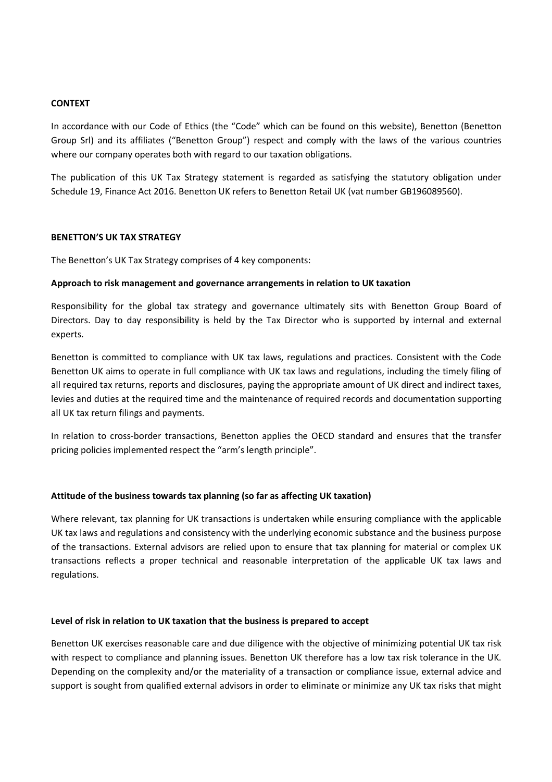## **CONTEXT**

In accordance with our Code of Ethics (the "Code" which can be found on this website), Benetton (Benetton Group Srl) and its affiliates ("Benetton Group") respect and comply with the laws of the various countries where our company operates both with regard to our taxation obligations.

The publication of this UK Tax Strategy statement is regarded as satisfying the statutory obligation under Schedule 19, Finance Act 2016. Benetton UK refers to Benetton Retail UK (vat number GB196089560).

### **BENETTON'S UK TAX STRATEGY**

The Benetton's UK Tax Strategy comprises of 4 key components:

## **Approach to risk management and governance arrangements in relation to UK taxation**

Responsibility for the global tax strategy and governance ultimately sits with Benetton Group Board of Directors. Day to day responsibility is held by the Tax Director who is supported by internal and external experts.

Benetton is committed to compliance with UK tax laws, regulations and practices. Consistent with the Code Benetton UK aims to operate in full compliance with UK tax laws and regulations, including the timely filing of all required tax returns, reports and disclosures, paying the appropriate amount of UK direct and indirect taxes, levies and duties at the required time and the maintenance of required records and documentation supporting all UK tax return filings and payments.

In relation to cross-border transactions, Benetton applies the OECD standard and ensures that the transfer pricing policies implemented respect the "arm's length principle".

# **Attitude of the business towards tax planning (so far as affecting UK taxation)**

Where relevant, tax planning for UK transactions is undertaken while ensuring compliance with the applicable UK tax laws and regulations and consistency with the underlying economic substance and the business purpose of the transactions. External advisors are relied upon to ensure that tax planning for material or complex UK transactions reflects a proper technical and reasonable interpretation of the applicable UK tax laws and regulations.

### **Level of risk in relation to UK taxation that the business is prepared to accept**

Benetton UK exercises reasonable care and due diligence with the objective of minimizing potential UK tax risk with respect to compliance and planning issues. Benetton UK therefore has a low tax risk tolerance in the UK. Depending on the complexity and/or the materiality of a transaction or compliance issue, external advice and support is sought from qualified external advisors in order to eliminate or minimize any UK tax risks that might